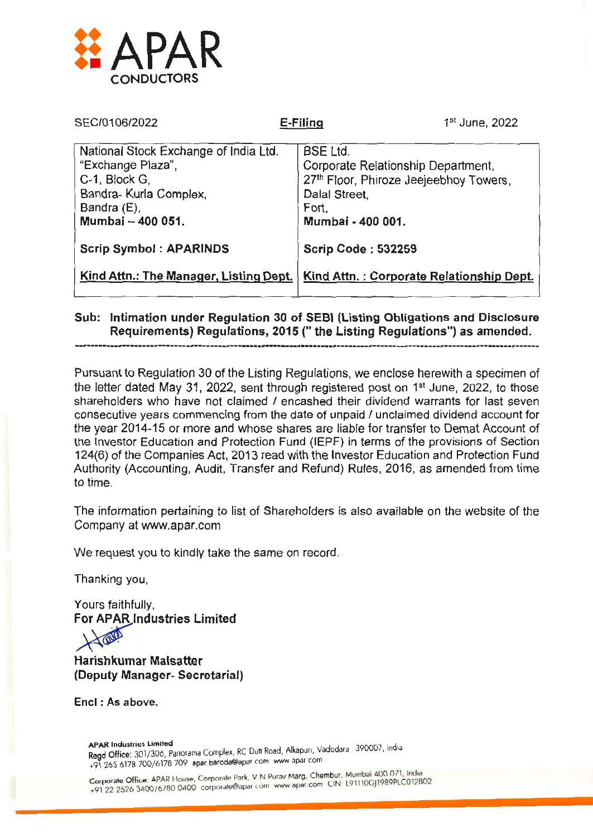

| SEC/0106/2022                                                                                                                             | E-Filing                                                              | 1 <sup>st</sup> June, 2022                                                   |  |  |
|-------------------------------------------------------------------------------------------------------------------------------------------|-----------------------------------------------------------------------|------------------------------------------------------------------------------|--|--|
| National Stock Exchange of India Ltd.<br>"Exchange Plaza",<br>C-1, Block G,<br>Bandra- Kurla Complex,<br>Bandra (E),<br>Mumbai - 400 051. | <b>BSE Ltd.</b><br>Dalal Street,<br>Fort,<br>Mumbai - 400 001.        | Corporate Relationship Department,<br>27th Floor, Phiroze Jeejeebhoy Towers, |  |  |
| <b>Scrip Symbol: APARINDS</b><br>Kind Attn.: The Manager, Listing Dept.                                                                   | <b>Scrip Code: 532259</b><br>Kind Attn.: Corporate Relationship Dept. |                                                                              |  |  |

## Sub: Intimation under Regulation 30 of SEBI (Listing Obligations and Disclosure Requirements) Regulations, 2015 ("the Listing Regulations") as amended.

Pursuant to Regulation 30 of the Listing Regulations, we enclose herewith a specimen of the letter dated May 31, 2022, sent through registered post on  $1<sup>st</sup>$  June, 2022, to those shareholders who have not claimed / encashed their dividend warrants for last seven consecutive years commencing from the date of unpaid I unclaimed dividend account for the year 2014-15 or more and whose shares are liable for transfer to Demat Account of the Investor Education and Protection Fund (IEPF) in terms of the provisions of Section 124(6) of the Companies Act, 2013 read with the Investor Education and Protection Fund Authority (Accounting, Audit, Transfer and Refund) Rules, 2016, as amended from time to time.

The information pertaining to list of Shareholders is also available on the website of the Company at www.apar.com

We request you to kindly take the same on record.

Thanking you,

Yours faithfully, For APAR Industries Limited

Harishkumar Malsatter (Deputy Manager- Secretarial)

Encl : As above.

APAR Industries Limited<br>Read Office: 301/306, Panorama Complex, RC Dutt Road, Alkapun, Vadodara - 390007, India +91 265 6178 700/6178 709 apar.baroda@apar com www apar com

Corporate Office: APAR House, Corporate Park, V N Purav Marg, Chembur, Mumbai 400 071, India Corporate Office: APAR House, Corporate Park, VIN Purav Marg, Chember, 191110GJ1989PLC012802<br>+91 22 2526 3400/6780 0400 corporate@apar.com www.apar.com CIN: L91110GJ1989PLC012802